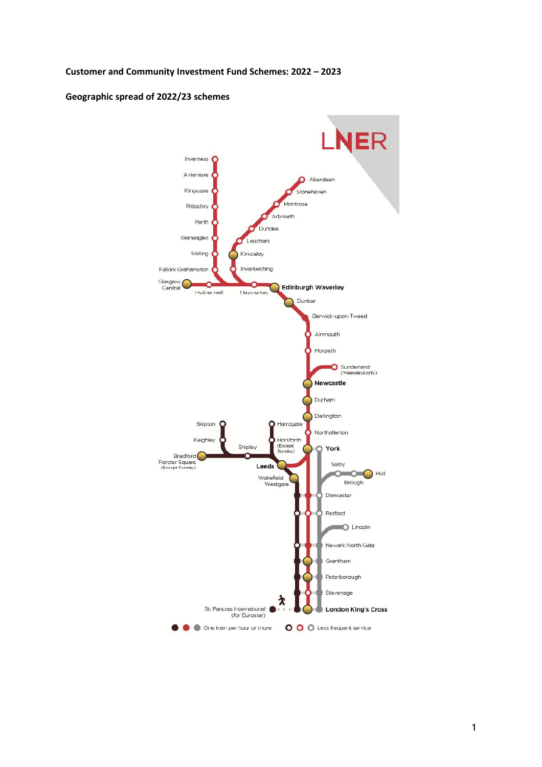#### Customer and Community Investment Fund Schemes: 2022 – 2023

### Geographic spread of 2022/23 schemes

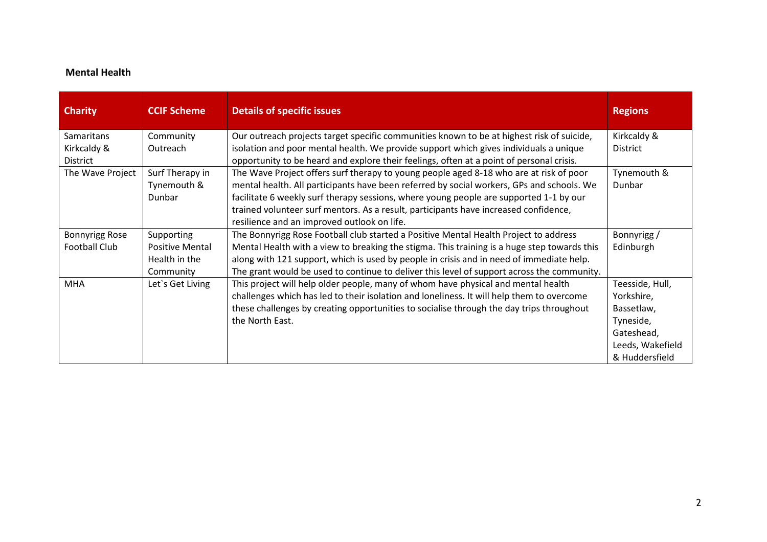### Mental Health

| <b>Charity</b>        | <b>CCIF Scheme</b>     | <b>Details of specific issues</b>                                                           | <b>Regions</b>   |
|-----------------------|------------------------|---------------------------------------------------------------------------------------------|------------------|
| Samaritans            | Community              | Our outreach projects target specific communities known to be at highest risk of suicide,   | Kirkcaldy &      |
| Kirkcaldy &           | Outreach               | isolation and poor mental health. We provide support which gives individuals a unique       | District         |
| District              |                        | opportunity to be heard and explore their feelings, often at a point of personal crisis.    |                  |
| The Wave Project      | Surf Therapy in        | The Wave Project offers surf therapy to young people aged 8-18 who are at risk of poor      | Tynemouth &      |
|                       | Tynemouth &            | mental health. All participants have been referred by social workers, GPs and schools. We   | Dunbar           |
|                       | Dunbar                 | facilitate 6 weekly surf therapy sessions, where young people are supported 1-1 by our      |                  |
|                       |                        | trained volunteer surf mentors. As a result, participants have increased confidence,        |                  |
|                       |                        | resilience and an improved outlook on life.                                                 |                  |
| <b>Bonnyrigg Rose</b> | Supporting             | The Bonnyrigg Rose Football club started a Positive Mental Health Project to address        | Bonnyrigg /      |
| <b>Football Club</b>  | <b>Positive Mental</b> | Mental Health with a view to breaking the stigma. This training is a huge step towards this | Edinburgh        |
|                       | Health in the          | along with 121 support, which is used by people in crisis and in need of immediate help.    |                  |
|                       | Community              | The grant would be used to continue to deliver this level of support across the community.  |                  |
| <b>MHA</b>            | Let's Get Living       | This project will help older people, many of whom have physical and mental health           | Teesside, Hull,  |
|                       |                        | challenges which has led to their isolation and loneliness. It will help them to overcome   | Yorkshire,       |
|                       |                        | these challenges by creating opportunities to socialise through the day trips throughout    | Bassetlaw,       |
|                       |                        | the North East.                                                                             | Tyneside,        |
|                       |                        |                                                                                             | Gateshead,       |
|                       |                        |                                                                                             | Leeds, Wakefield |
|                       |                        |                                                                                             | & Huddersfield   |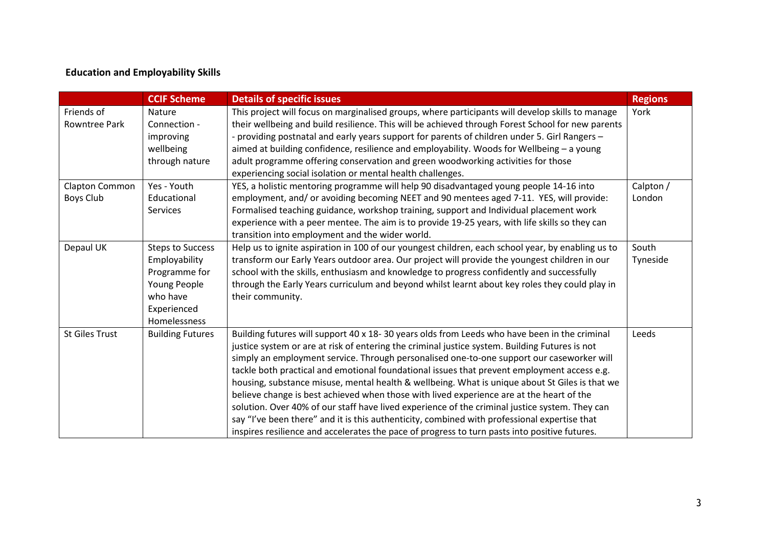# Education and Employability Skills

|                                    | <b>CCIF Scheme</b>                                                                                                   | <b>Details of specific issues</b>                                                                                                                                                                                                                                                                                                                                                                                                                                                                                                                                                                                                                                                                                                                                                                                                                                                            | <b>Regions</b>      |
|------------------------------------|----------------------------------------------------------------------------------------------------------------------|----------------------------------------------------------------------------------------------------------------------------------------------------------------------------------------------------------------------------------------------------------------------------------------------------------------------------------------------------------------------------------------------------------------------------------------------------------------------------------------------------------------------------------------------------------------------------------------------------------------------------------------------------------------------------------------------------------------------------------------------------------------------------------------------------------------------------------------------------------------------------------------------|---------------------|
| Friends of<br><b>Rowntree Park</b> | Nature<br>Connection -<br>improving<br>wellbeing<br>through nature                                                   | This project will focus on marginalised groups, where participants will develop skills to manage<br>their wellbeing and build resilience. This will be achieved through Forest School for new parents<br>- providing postnatal and early years support for parents of children under 5. Girl Rangers -<br>aimed at building confidence, resilience and employability. Woods for Wellbeing - a young<br>adult programme offering conservation and green woodworking activities for those<br>experiencing social isolation or mental health challenges.                                                                                                                                                                                                                                                                                                                                        | York                |
| Clapton Common<br>Boys Club        | Yes - Youth<br>Educational<br>Services                                                                               | YES, a holistic mentoring programme will help 90 disadvantaged young people 14-16 into<br>employment, and/ or avoiding becoming NEET and 90 mentees aged 7-11. YES, will provide:<br>Formalised teaching guidance, workshop training, support and Individual placement work<br>experience with a peer mentee. The aim is to provide 19-25 years, with life skills so they can<br>transition into employment and the wider world.                                                                                                                                                                                                                                                                                                                                                                                                                                                             | Calpton /<br>London |
| Depaul UK                          | <b>Steps to Success</b><br>Employability<br>Programme for<br>Young People<br>who have<br>Experienced<br>Homelessness | Help us to ignite aspiration in 100 of our youngest children, each school year, by enabling us to<br>transform our Early Years outdoor area. Our project will provide the youngest children in our<br>school with the skills, enthusiasm and knowledge to progress confidently and successfully<br>through the Early Years curriculum and beyond whilst learnt about key roles they could play in<br>their community.                                                                                                                                                                                                                                                                                                                                                                                                                                                                        | South<br>Tyneside   |
| <b>St Giles Trust</b>              | <b>Building Futures</b>                                                                                              | Building futures will support 40 x 18- 30 years olds from Leeds who have been in the criminal<br>justice system or are at risk of entering the criminal justice system. Building Futures is not<br>simply an employment service. Through personalised one-to-one support our caseworker will<br>tackle both practical and emotional foundational issues that prevent employment access e.g.<br>housing, substance misuse, mental health & wellbeing. What is unique about St Giles is that we<br>believe change is best achieved when those with lived experience are at the heart of the<br>solution. Over 40% of our staff have lived experience of the criminal justice system. They can<br>say "I've been there" and it is this authenticity, combined with professional expertise that<br>inspires resilience and accelerates the pace of progress to turn pasts into positive futures. | Leeds               |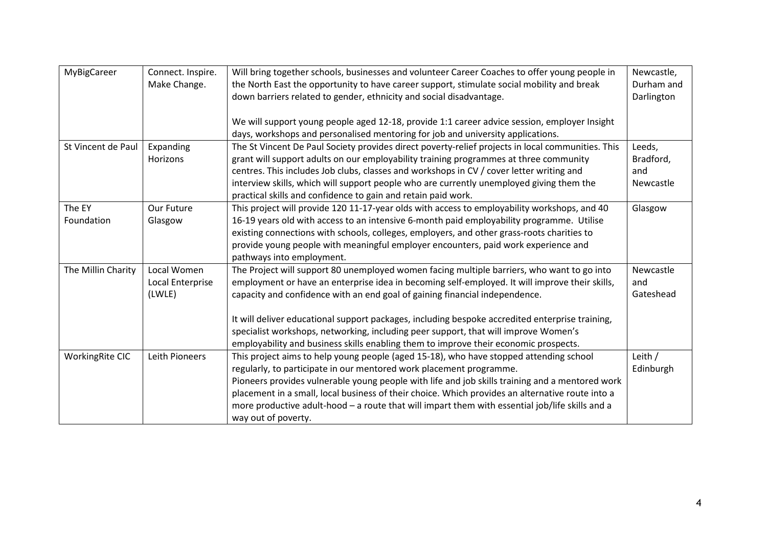| MyBigCareer            | Connect. Inspire. | Will bring together schools, businesses and volunteer Career Coaches to offer young people in     | Newcastle, |
|------------------------|-------------------|---------------------------------------------------------------------------------------------------|------------|
|                        | Make Change.      | the North East the opportunity to have career support, stimulate social mobility and break        | Durham and |
|                        |                   | down barriers related to gender, ethnicity and social disadvantage.                               | Darlington |
|                        |                   |                                                                                                   |            |
|                        |                   | We will support young people aged 12-18, provide 1:1 career advice session, employer Insight      |            |
|                        |                   | days, workshops and personalised mentoring for job and university applications.                   |            |
| St Vincent de Paul     | Expanding         | The St Vincent De Paul Society provides direct poverty-relief projects in local communities. This | Leeds,     |
|                        | Horizons          | grant will support adults on our employability training programmes at three community             | Bradford,  |
|                        |                   | centres. This includes Job clubs, classes and workshops in CV / cover letter writing and          | and        |
|                        |                   | interview skills, which will support people who are currently unemployed giving them the          | Newcastle  |
|                        |                   | practical skills and confidence to gain and retain paid work.                                     |            |
| The EY                 | Our Future        | This project will provide 120 11-17-year olds with access to employability workshops, and 40      | Glasgow    |
| Foundation             | Glasgow           | 16-19 years old with access to an intensive 6-month paid employability programme. Utilise         |            |
|                        |                   | existing connections with schools, colleges, employers, and other grass-roots charities to        |            |
|                        |                   | provide young people with meaningful employer encounters, paid work experience and                |            |
|                        |                   | pathways into employment.                                                                         |            |
| The Millin Charity     | Local Women       | The Project will support 80 unemployed women facing multiple barriers, who want to go into        | Newcastle  |
|                        | Local Enterprise  | employment or have an enterprise idea in becoming self-employed. It will improve their skills,    | and        |
|                        | (LWLE)            | capacity and confidence with an end goal of gaining financial independence.                       | Gateshead  |
|                        |                   |                                                                                                   |            |
|                        |                   | It will deliver educational support packages, including bespoke accredited enterprise training,   |            |
|                        |                   | specialist workshops, networking, including peer support, that will improve Women's               |            |
|                        |                   | employability and business skills enabling them to improve their economic prospects.              |            |
| <b>WorkingRite CIC</b> | Leith Pioneers    | This project aims to help young people (aged 15-18), who have stopped attending school            | Leith /    |
|                        |                   | regularly, to participate in our mentored work placement programme.                               | Edinburgh  |
|                        |                   | Pioneers provides vulnerable young people with life and job skills training and a mentored work   |            |
|                        |                   | placement in a small, local business of their choice. Which provides an alternative route into a  |            |
|                        |                   | more productive adult-hood - a route that will impart them with essential job/life skills and a   |            |
|                        |                   | way out of poverty.                                                                               |            |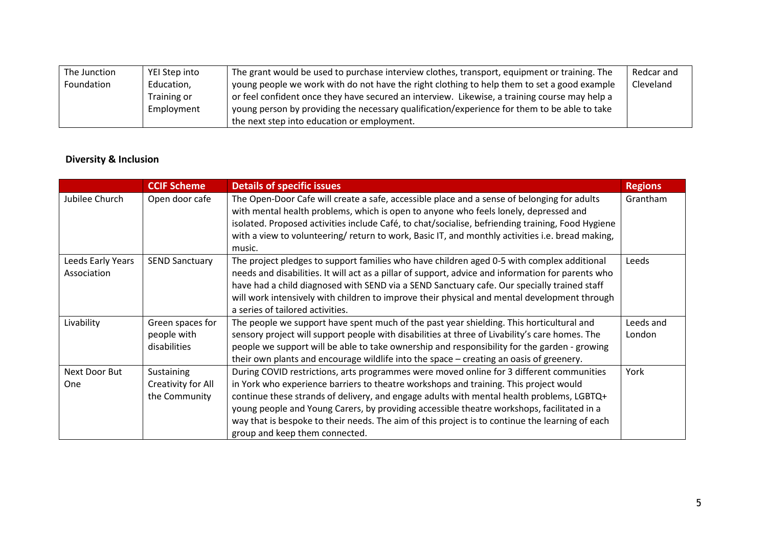| The Junction | YEI Step into | The grant would be used to purchase interview clothes, transport, equipment or training. The  | Redcar and |
|--------------|---------------|-----------------------------------------------------------------------------------------------|------------|
| Foundation   | Education,    | young people we work with do not have the right clothing to help them to set a good example   | Cleveland  |
|              | Training or   | or feel confident once they have secured an interview. Likewise, a training course may help a |            |
|              | Employment    | young person by providing the necessary qualification/experience for them to be able to take  |            |
|              |               | the next step into education or employment.                                                   |            |

## Diversity & Inclusion

|                                  | <b>CCIF Scheme</b>                                | <b>Details of specific issues</b>                                                                                                                                                                                                                                                                                                                                                                                                                                                                                 | <b>Regions</b>      |
|----------------------------------|---------------------------------------------------|-------------------------------------------------------------------------------------------------------------------------------------------------------------------------------------------------------------------------------------------------------------------------------------------------------------------------------------------------------------------------------------------------------------------------------------------------------------------------------------------------------------------|---------------------|
| Jubilee Church                   | Open door cafe                                    | The Open-Door Cafe will create a safe, accessible place and a sense of belonging for adults<br>with mental health problems, which is open to anyone who feels lonely, depressed and<br>isolated. Proposed activities include Café, to chat/socialise, befriending training, Food Hygiene<br>with a view to volunteering/ return to work, Basic IT, and monthly activities i.e. bread making,<br>music.                                                                                                            | Grantham            |
| Leeds Early Years<br>Association | <b>SEND Sanctuary</b>                             | The project pledges to support families who have children aged 0-5 with complex additional<br>needs and disabilities. It will act as a pillar of support, advice and information for parents who<br>have had a child diagnosed with SEND via a SEND Sanctuary cafe. Our specially trained staff<br>will work intensively with children to improve their physical and mental development through<br>a series of tailored activities.                                                                               | Leeds               |
| Livability                       | Green spaces for<br>people with<br>disabilities   | The people we support have spent much of the past year shielding. This horticultural and<br>sensory project will support people with disabilities at three of Livability's care homes. The<br>people we support will be able to take ownership and responsibility for the garden - growing<br>their own plants and encourage wildlife into the space – creating an oasis of greenery.                                                                                                                             | Leeds and<br>London |
| Next Door But<br>One             | Sustaining<br>Creativity for All<br>the Community | During COVID restrictions, arts programmes were moved online for 3 different communities<br>in York who experience barriers to theatre workshops and training. This project would<br>continue these strands of delivery, and engage adults with mental health problems, LGBTQ+<br>young people and Young Carers, by providing accessible theatre workshops, facilitated in a<br>way that is bespoke to their needs. The aim of this project is to continue the learning of each<br>group and keep them connected. | York                |